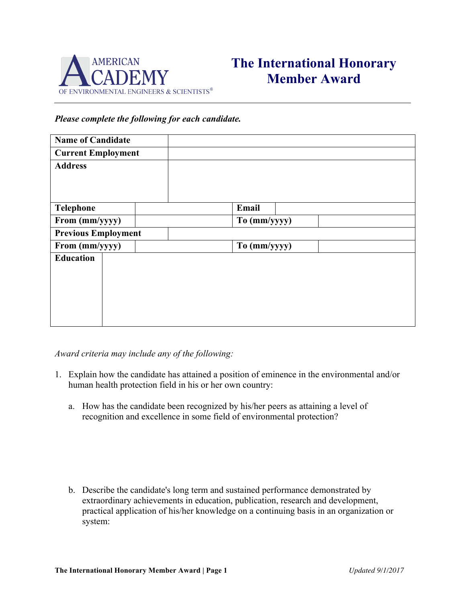

## **The International Honorary Member Award**

## *Please complete the following for each candidate.*

| <b>Name of Candidate</b>   |  |              |
|----------------------------|--|--------------|
| <b>Current Employment</b>  |  |              |
| <b>Address</b>             |  |              |
|                            |  |              |
|                            |  |              |
| <b>Telephone</b>           |  | Email        |
| From (mm/yyyy)             |  | To (mm/yyyy) |
| <b>Previous Employment</b> |  |              |
| From (mm/yyyy)             |  | To (mm/yyyy) |
| <b>Education</b>           |  |              |
|                            |  |              |
|                            |  |              |
|                            |  |              |
|                            |  |              |
|                            |  |              |

*Award criteria may include any of the following:*

- 1. Explain how the candidate has attained a position of eminence in the environmental and/or human health protection field in his or her own country:
	- a. How has the candidate been recognized by his/her peers as attaining a level of recognition and excellence in some field of environmental protection?

b. Describe the candidate's long term and sustained performance demonstrated by extraordinary achievements in education, publication, research and development, practical application of his/her knowledge on a continuing basis in an organization or system: